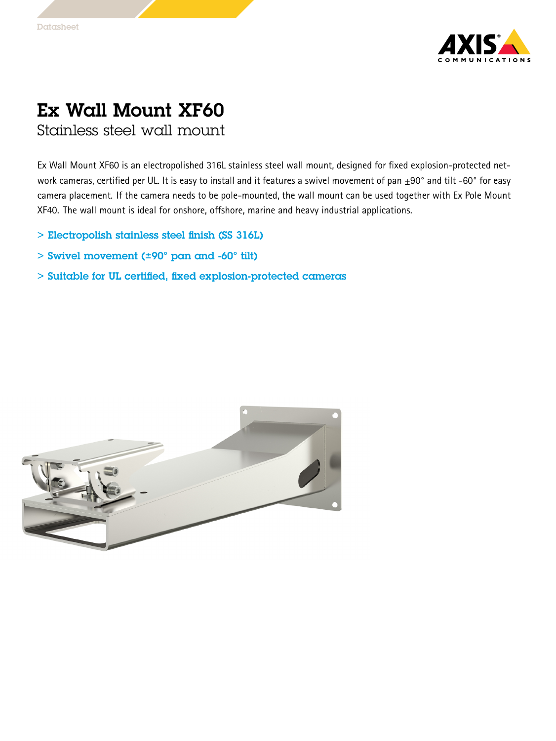

## Ex Wall Mount XF60 Stainless steel wall mount

Ex Wall Mount XF60 is an electropolished 316L stainless steel wall mount, designed for fixed explosion-protected network cameras, certified per UL. It is easy to install and it features a swivel movement of pan  $\pm 90^\circ$  and tilt -60° for easy camera placement. If the camera needs to be pole-mounted, the wall mount can be used together with Ex Pole Mount XF40. The wall mount is ideal for onshore, offshore, marine and heavy industrial applications.

- > Electropolish stainless steel finish (SS 316L)
- > Swivel movement (±90° pan and -60° tilt)
- > Suitable for UL certified, fixed explosion-protected cameras